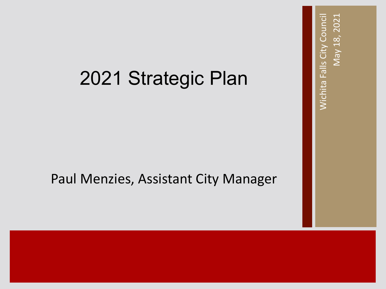### 2021 Strategic Plan

### Paul Menzies, Assistant City Manager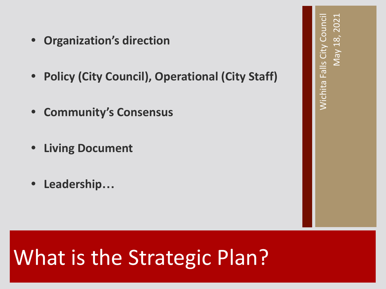- **• Organization's direction**
- **• Policy (City Council), Operational (City Staff)**
- **• Community's Consensus**
- **• Living Document**
- **• Leadership…**

## What is the Strategic Plan?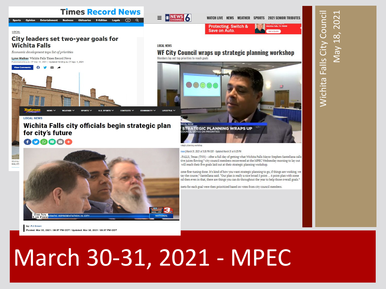

## March 30-31, 2021 - MPEC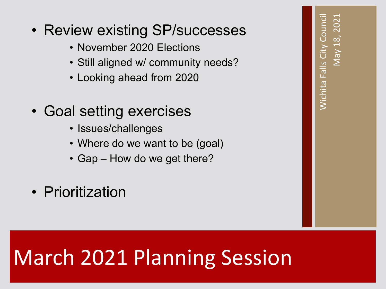- November 2020 Elections
- Still aligned w/ community needs?
- Looking ahead from 2020
- Goal setting exercises
	- Issues/challenges
	- Where do we want to be (goal)
	- Gap How do we get there?
- Prioritization

# March 2021 Planning Session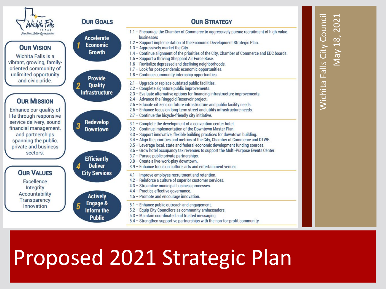

#### **OUR V**

Wichita vibrant, grov oriented co unlimited o and civi

#### **OUR M**

Enhance ou life through service deliv financial ma and part spanning private and sect

### **OUR V**

**Excel** Inter Accoun **Transp** Innov

|                                                                                                                                                                                                                   | <b>OUR GOALS</b>                                                                                                                                                                                                       | <b>OUR STRATEGY</b>                                                                                                                                                                                                                                                                                                                                                                                                                                                                                                                                                                                                               |  |
|-------------------------------------------------------------------------------------------------------------------------------------------------------------------------------------------------------------------|------------------------------------------------------------------------------------------------------------------------------------------------------------------------------------------------------------------------|-----------------------------------------------------------------------------------------------------------------------------------------------------------------------------------------------------------------------------------------------------------------------------------------------------------------------------------------------------------------------------------------------------------------------------------------------------------------------------------------------------------------------------------------------------------------------------------------------------------------------------------|--|
| Haen Opportunities<br><b>/ISION</b><br>Falls is a<br>ving, family-<br>mmunity of<br>opportunity                                                                                                                   | <b>Accelerate</b><br><b>Economic</b><br><b>Growth</b><br><b>Provide</b><br><b>Quality</b><br>$\overline{2}$<br><b>Infrastructure</b><br>Redevelop<br>3<br><b>Downtown</b><br><b>Efficiently</b><br><b>Deliver</b><br>4 | 1.1 - Encourage the Chamber of Commerce to aggressively pursue recruitment of high-value<br>businesses<br>1.2 - Support implementation of the Economic Development Strategic Plan.<br>1.3 - Aggressively market the City.<br>1.4 - Continue alignment of the priorities of the City, Chamber of Commerce and EDC boards.<br>1.5 - Support a thriving Sheppard Air Force Base.<br>1.6 - Revitalize depressed and declining neighborhoods.<br>1.7 - Look for post-pandemic economic opportunities.<br>1.8 - Continue community internship opportunities.                                                                            |  |
| ic pride.<br><b>IISSION</b><br>ur quality of<br>responsive<br>very, sound<br>anagement,<br>nerships<br>the public,<br>d business<br>tors.<br><b>ALUES</b><br>lence<br>grity<br><b>tability</b><br>arency<br>ation |                                                                                                                                                                                                                        | 2.1 - Upgrade or replace outdated public facilities.<br>2.2 - Complete signature public improvements.<br>2.3 - Evaluate alternative options for financing infrastructure improvements.<br>2.4 - Advance the Ringgold Reservoir project.<br>2.5 - Educate citizens on future infrastructure and public facility needs.<br>2.6 - Enhance focus on long-term street and utility infrastructure needs.<br>2.7 - Continue the bicycle-friendly city initiative.                                                                                                                                                                        |  |
|                                                                                                                                                                                                                   |                                                                                                                                                                                                                        | 3.1 - Complete the development of a convention center hotel.<br>3.2 - Continue implementation of the Downtown Master Plan.<br>3.3 - Support innovative, flexible building practices for downtown building.<br>3.4 - Align the priorities and metrics of the City, Chamber of Commerce and DTWF.<br>3.5 - Leverage local, state and federal economic development funding sources.<br>3.6 - Grow hotel occupancy tax revenues to support the Multi-Purpose Events Center.<br>3.7 - Pursue public private partnerships.<br>3.8 - Create a live-work-play downtown.<br>3.9 - Enhance focus on culture, arts and entertainment venues. |  |
|                                                                                                                                                                                                                   | <b>City Services</b><br><b>Actively</b>                                                                                                                                                                                | 4.1 - Improve employee recruitment and retention.<br>4.2 - Reinforce a culture of superior customer services.<br>4.3 - Streamline municipal business processes.<br>4.4 - Practice effective governance.<br>4.5 - Promote and encourage innovation.                                                                                                                                                                                                                                                                                                                                                                                |  |
|                                                                                                                                                                                                                   | <b>Engage &amp;</b><br>5<br>Inform the<br><b>Public</b>                                                                                                                                                                | 5.1 - Enhance public outreach and engagement.<br>5.2 - Equip City Councilors as community ambassadors.<br>5.3 - Maintain coordinated and trusted messaging<br>5.4 - Strengthen supportive partnerships with the non-for-profit community                                                                                                                                                                                                                                                                                                                                                                                          |  |

### Proposed 2021 Strategic Plan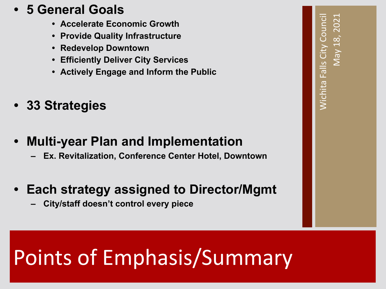### **• 5 General Goals**

- **• Accelerate Economic Growth**
- **• Provide Quality Infrastructure**
- **• Redevelop Downtown**
- **• Efficiently Deliver City Services**
- **• Actively Engage and Inform the Public**
- **• 33 Strategies**
- **• Multi-year Plan and Implementation**
	- **– Ex. Revitalization, Conference Center Hotel, Downtown**
- **• Each strategy assigned to Director/Mgmt**
	- **– City/staff doesn't control every piece**

# Points of Emphasis/Summary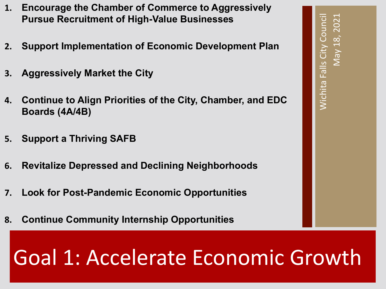- **1. Encourage the Chamber of Commerce to Aggressively Pursue Recruitment of High-Value Businesses**
- **2. Support Implementation of Economic Development Plan**
- **3. Aggressively Market the City**
- **4. Continue to Align Priorities of the City, Chamber, and EDC Boards (4A/4B)**
- **5. Support a Thriving SAFB**
- **6. Revitalize Depressed and Declining Neighborhoods**
- **7. Look for Post-Pandemic Economic Opportunities**
- **8. Continue Community Internship Opportunities**

### Goal 1: Accelerate Economic Growth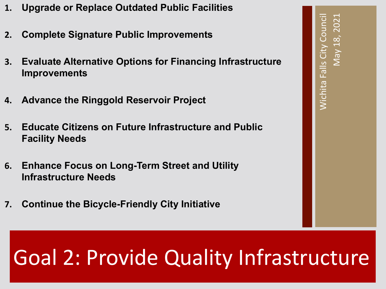- **1. Upgrade or Replace Outdated Public Facilities**
- **2. Complete Signature Public Improvements**
- **3. Evaluate Alternative Options for Financing Infrastructure Improvements**
- **4. Advance the Ringgold Reservoir Project**
- **5. Educate Citizens on Future Infrastructure and Public Facility Needs**
- **6. Enhance Focus on Long-Term Street and Utility Infrastructure Needs**
- **7. Continue the Bicycle-Friendly City Initiative**

### Goal 2: Provide Quality Infrastructure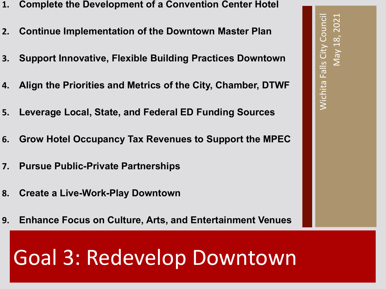- **1. Complete the Development of a Convention Center Hotel**
- **2. Continue Implementation of the Downtown Master Plan**
- **3. Support Innovative, Flexible Building Practices Downtown**
- **4. Align the Priorities and Metrics of the City, Chamber, DTWF**
- **5. Leverage Local, State, and Federal ED Funding Sources**
- **6. Grow Hotel Occupancy Tax Revenues to Support the MPEC**
- **7. Pursue Public-Private Partnerships**
- **8. Create a Live-Work-Play Downtown**
- **9. Enhance Focus on Culture, Arts, and Entertainment Venues**

### Goal 3: Redevelop Downtown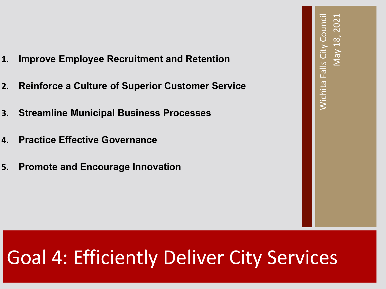- **1. Improve Employee Recruitment and Retention**
- **2. Reinforce a Culture of Superior Customer Service**
- **3. Streamline Municipal Business Processes**
- **4. Practice Effective Governance**
- **5. Promote and Encourage Innovation**

### Goal 4: Efficiently Deliver City Services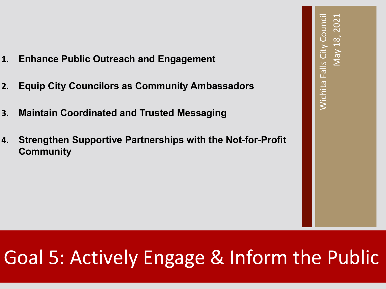- **1. Enhance Public Outreach and Engagement**
- **2. Equip City Councilors as Community Ambassadors**
- **3. Maintain Coordinated and Trusted Messaging**
- **4. Strengthen Supportive Partnerships with the Not-for-Profit Community**

### Goal 5: Actively Engage & Inform the Public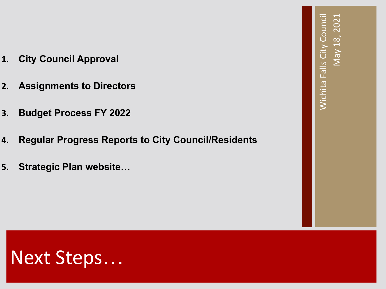- **1. City Council Approval**
- **2. Assignments to Directors**
- **3. Budget Process FY 2022**
- **4. Regular Progress Reports to City Council/Residents**
- **5. Strategic Plan website…**

### Next Steps…